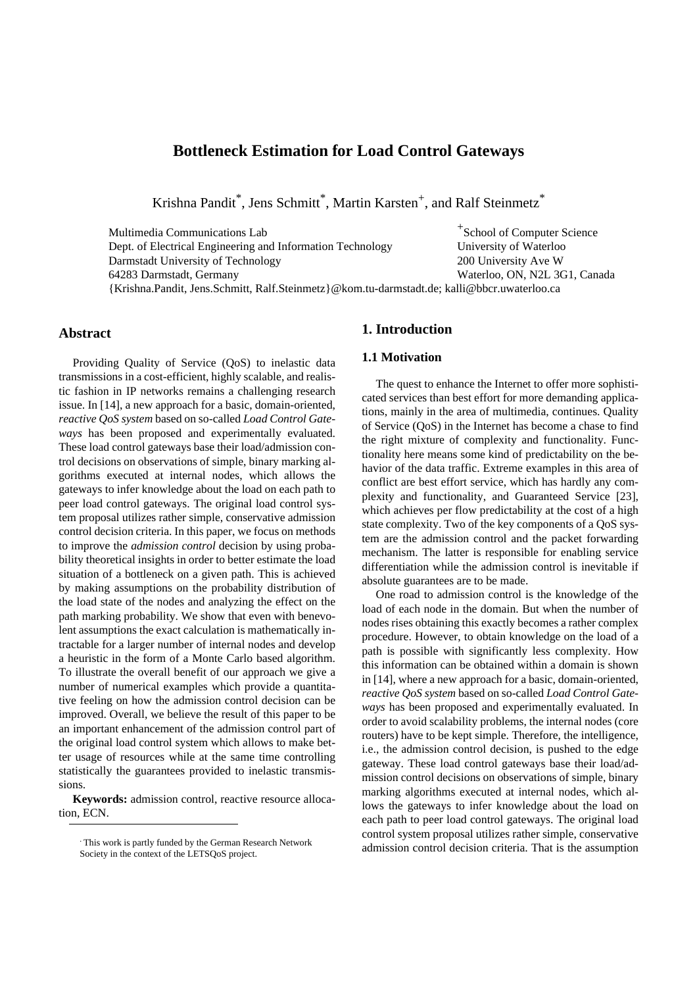# **Bottleneck Estimation for Load Control Gateways**

Krishna Pandit\*, Jens Schmitt\*, Martin Karsten+, and Ralf Steinmetz\*

Multimedia Communications Lab  $+$ School of Computer Science Dept. of Electrical Engineering and Information Technology University of Waterloo Darmstadt University of Technology 200 University Ave W 64283 Darmstadt, Germany Waterloo, ON, N2L 3G1, Canada {Krishna.Pandit, Jens.Schmitt, Ralf.Steinmetz}@kom.tu-darmstadt.de; kalli@bbcr.uwaterloo.ca

## **Abstract**

Providing Quality of Service (QoS) to inelastic data transmissions in a cost-efficient, highly scalable, and realistic fashion in IP networks remains a challenging research issue. In [\[14\],](#page-7-0) a new approach for a basic, domain-oriented, *reactive QoS system* based on so-called *Load Control Gateways* has been proposed and experimentally evaluated. These load control gateways base their load/admission control decisions on observations of simple, binary marking algorithms executed at internal nodes, which allows the gateways to infer knowledge about the load on each path to peer load control gateways. The original load control system proposal utilizes rather simple, conservative admission control decision criteria. In this paper, we focus on methods to improve the *admission control* decision by using probability theoretical insights in order to better estimate the load situation of a bottleneck on a given path. This is achieved by making assumptions on the probability distribution of the load state of the nodes and analyzing the effect on the path marking probability. We show that even with benevolent assumptions the exact calculation is mathematically intractable for a larger number of internal nodes and develop a heuristic in the form of a Monte Carlo based algorithm. To illustrate the overall benefit of our approach we give a number of numerical examples which provide a quantitative feeling on how the admission control decision can be improved. Overall, we believe the result of this paper to be an important enhancement of the admission control part of the original load control system which allows to make better usage of resources while at the same time controlling statistically the guarantees provided to inelastic transmissions.

**Keywords:** admission control, reactive resource allocation, ECN.

### **1. Introduction**

### **1.1 Motivation**

The quest to enhance the Internet to offer more sophisticated services than best effort for more demanding applications, mainly in the area of multimedia, continues. Quality of Service (QoS) in the Internet has become a chase to find the right mixture of complexity and functionality. Functionality here means some kind of predictability on the behavior of the data traffic. Extreme examples in this area of conflict are best effort service, which has hardly any complexity and functionality, and Guaranteed Service [\[23\]](#page-7-0), which achieves per flow predictability at the cost of a high state complexity. Two of the key components of a QoS system are the admission control and the packet forwarding mechanism. The latter is responsible for enabling service differentiation while the admission control is inevitable if absolute guarantees are to be made.

One road to admission control is the knowledge of the load of each node in the domain. But when the number of nodes rises obtaining this exactly becomes a rather complex procedure. However, to obtain knowledge on the load of a path is possible with significantly less complexity. How this information can be obtained within a domain is shown in [\[14\]](#page-7-0), where a new approach for a basic, domain-oriented, *reactive QoS system* based on so-called *Load Control Gateways* has been proposed and experimentally evaluated. In order to avoid scalability problems, the internal nodes (core routers) have to be kept simple. Therefore, the intelligence, i.e., the admission control decision, is pushed to the edge gateway. These load control gateways base their load/admission control decisions on observations of simple, binary marking algorithms executed at internal nodes, which allows the gateways to infer knowledge about the load on each path to peer load control gateways. The original load control system proposal utilizes rather simple, conservative admission control decision criteria. That is the assumption .

This work is partly funded by the German Research Network Society in the context of the LETSQoS project.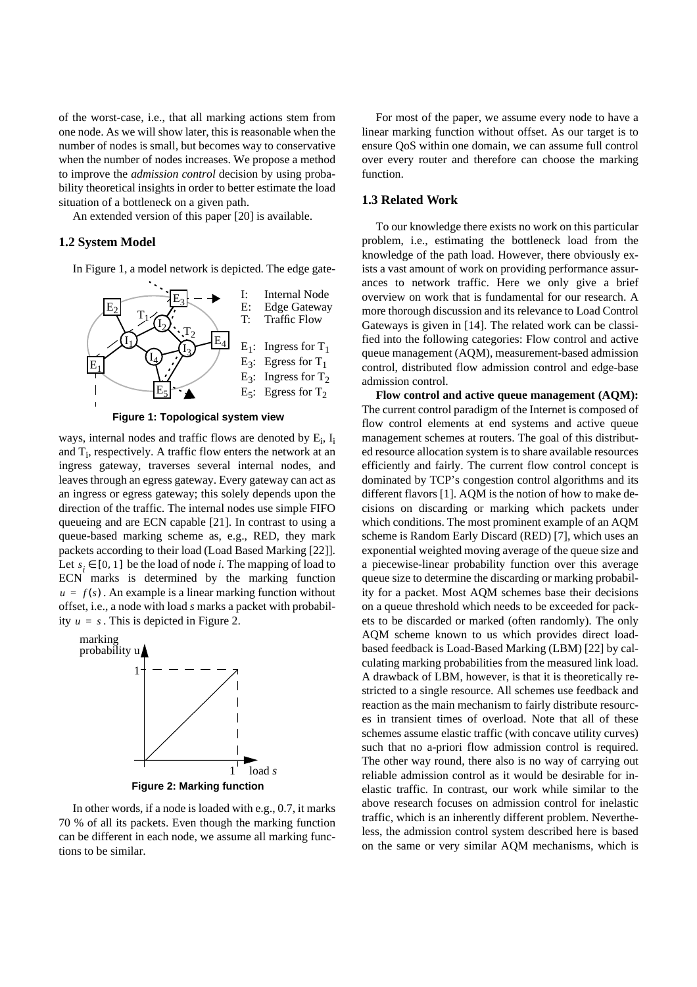of the worst-case, i.e., that all marking actions stem from one node. As we will show later, this is reasonable when the number of nodes is small, but becomes way to conservative when the number of nodes increases. We propose a method to improve the *admission control* decision by using probability theoretical insights in order to better estimate the load situation of a bottleneck on a given path.

An extended version of this paper [[20\] is](#page-7-0) available.

#### **1.2 System Model**

In Figure 1, a model network is depicted. The edge gate-



ways, internal nodes and traffic flows are denoted by  $E_i$ ,  $I_i$ and  $T_i$ , respectively. A traffic flow enters the network at an ingress gateway, traverses several internal nodes, and leaves through an egress gateway. Every gateway can act as an ingress or egress gateway; this solely depends upon the direction of the traffic. The internal nodes use simple FIFO queueing and are ECN capable [\[21](#page-7-0)]. In contrast to using a queue-based marking scheme as, e.g., RED, they mark packets according to their load (Load Based Marking [\[22\]\]](#page-7-0). Let  $s_i \in [0, 1]$  be the load of node *i*. The mapping of load to ECN marks is determined by the marking function  $u = f(s)$ . An example is a linear marking function without offset, i.e., a node with load *s* marks a packet with probability  $u = s$ . This is depicted in Figure 2.



In other words, if a node is loaded with e.g., 0.7, it marks 70 % of all its packets. Even though the marking function can be different in each node, we assume all marking functions to be similar.

For most of the paper, we assume every node to have a linear marking function without offset. As our target is to ensure QoS within one domain, we can assume full control over every router and therefore can choose the marking function.

### **1.3 Related Work**

To our knowledge there exists no work on this particular problem, i.e., estimating the bottleneck load from the knowledge of the path load. However, there obviously exists a vast amount of work on providing performance assurances to network traffic. Here we only give a brief overview on work that is fundamental for our research. A more thorough discussion and its relevance to Load Control Gateways is given in [\[14\]](#page-7-0). The related work can be classified into the following categories: Flow control and active queue management (AQM), measurement-based admission control, distributed flow admission control and edge-base admission control.

**Flow control and active queue management (AQM):** The current control paradigm of the Internet is composed of flow control elements at end systems and active queue management schemes at routers. The goal of this distributed resource allocation system is to share available resources efficiently and fairly. The current flow control concept is dominated by TCP's congestion control algorithms and its different flavors [\[1\]](#page-7-0). AQM is the notion of how to make decisions on discarding or marking which packets under which conditions. The most prominent example of an AQM scheme is Random Early Discard (RED) [\[7\],](#page-7-0) which uses an exponential weighted moving average of the queue size and a piecewise-linear probability function over this average queue size to determine the discarding or marking probability for a packet. Most AQM schemes base their decisions on a queue threshold which needs to be exceeded for packets to be discarded or marked (often randomly). The only AQM scheme known to us which provides direct loadbased feedback is Load-Based Marking (LBM) [\[22\]](#page-7-0) by calculating marking probabilities from the measured link load. A drawback of LBM, however, is that it is theoretically restricted to a single resource. All schemes use feedback and reaction as the main mechanism to fairly distribute resources in transient times of overload. Note that all of these schemes assume elastic traffic (with concave utility curves) such that no a-priori flow admission control is required. The other way round, there also is no way of carrying out reliable admission control as it would be desirable for inelastic traffic. In contrast, our work while similar to the above research focuses on admission control for inelastic traffic, which is an inherently different problem. Nevertheless, the admission control system described here is based on the same or very similar AQM mechanisms, which is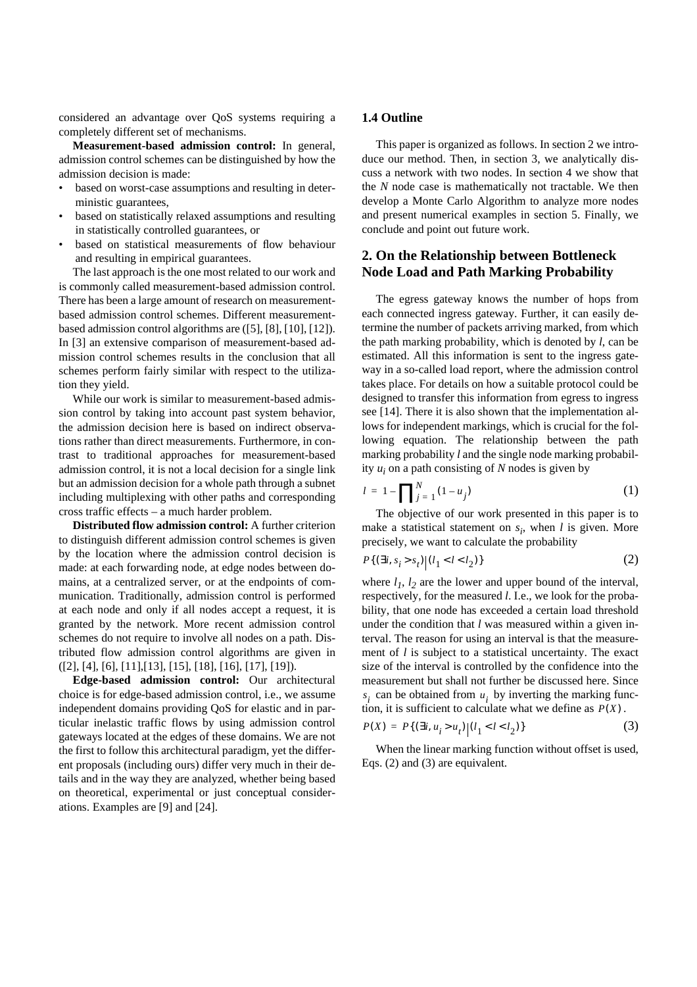<span id="page-2-0"></span>considered an advantage over QoS systems requiring a completely different set of mechanisms.

**Measurement-based admission control:** In general, admission control schemes can be distinguished by how the admission decision is made:

- based on worst-case assumptions and resulting in deterministic guarantees,
- based on statistically relaxed assumptions and resulting in statistically controlled guarantees, or
- based on statistical measurements of flow behaviour and resulting in empirical guarantees.

The last approach is the one most related to our work and is commonly called measurement-based admission control. There has been a large amount of research on measurementbased admission control schemes. Different measurementbased admission control algorithms are ([\[5\],](#page-7-0) [\[8\],](#page-7-0) [\[10\]](#page-7-0), [\[12\]](#page-7-0)). In [\[3\]](#page-7-0) an extensive comparison of measurement-based admission control schemes results in the conclusion that all schemes perform fairly similar with respect to the utilization they yield.

While our work is similar to measurement-based admission control by taking into account past system behavior, the admission decision here is based on indirect observations rather than direct measurements. Furthermore, in contrast to traditional approaches for measurement-based admission control, it is not a local decision for a single link but an admission decision for a whole path through a subnet including multiplexing with other paths and corresponding cross traffic effects – a much harder problem.

**Distributed flow admission control:** A further criterion to distinguish different admission control schemes is given by the location where the admission control decision is made: at each forwarding node, at edge nodes between domains, at a centralized server, or at the endpoints of communication. Traditionally, admission control is performed at each node and only if all nodes accept a request, it is granted by the network. More recent admission control schemes do not require to involve all nodes on a path. Distributed flow admission control algorithms are given in ([\[2\]](#page-7-0), [\[4\],](#page-7-0) [\[6\],](#page-7-0) [\[11\],\[13\],](#page-7-0) [\[15\],](#page-7-0) [\[18\],](#page-7-0) [\[16\],](#page-7-0) [\[17\],](#page-7-0) [\[19\]\)](#page-7-0).

**Edge-based admission control:** Our architectural choice is for edge-based admission control, i.e., we assume independent domains providing QoS for elastic and in particular inelastic traffic flows by using admission control gateways located at the edges of these domains. We are not the first to follow this architectural paradigm, yet the different proposals (including ours) differ very much in their details and in the way they are analyzed, whether being based on theoretical, experimental or just conceptual considerations. Examples are [[9\] a](#page-7-0)nd [[24\].](#page-7-0)

### **1.4 Outline**

This paper is organized as follows. In section 2 we introduce our method. Then, in section [3](#page-3-0), we analytically discuss a network with two nodes. In section [4](#page-4-0) we show that the *N* node case is mathematically not tractable. We then develop a Monte Carlo Algorithm to analyze more nodes and present numerical examples in section [5](#page-5-0). Finally, we conclude and point out future work.

# **2. On the Relationship between Bottleneck Node Load and Path Marking Probability**

The egress gateway knows the number of hops from each connected ingress gateway. Further, it can easily determine the number of packets arriving marked, from which the path marking probability, which is denoted by *l*, can be estimated. All this information is sent to the ingress gateway in a so-called load report, where the admission control takes place. For details on how a suitable protocol could be designed to transfer this information from egress to ingress see [\[14\]](#page-7-0). There it is also shown that the implementation allows for independent markings, which is crucial for the following equation. The relationship between the path marking probability *l* and the single node marking probability  $u_i$  on a path consisting of  $N$  nodes is given by

$$
l = 1 - \prod_{j=1}^{N} (1 - u_j)
$$
 (1)

The objective of our work presented in this paper is to make a statistical statement on  $s_i$ , when  $l$  is given. More precisely, we want to calculate the probability

$$
P\{(\exists i, s_i > s_t) | (l_1 < l < l_2)\}\tag{2}
$$

where  $l_1$ ,  $l_2$  are the lower and upper bound of the interval, respectively, for the measured *l*. I.e., we look for the probability, that one node has exceeded a certain load threshold under the condition that *l* was measured within a given interval. The reason for using an interval is that the measurement of *l* is subject to a statistical uncertainty. The exact size of the interval is controlled by the confidence into the measurement but shall not further be discussed here. Since  $s_i$  can be obtained from  $u_i$  by inverting the marking function, it is sufficient to calculate what we define as  $P(X)$ .

$$
P(X) = P\{(\exists i, u_i > u_t) | (l_1 < l < l_2)\}\tag{3}
$$

When the linear marking function without offset is used, Eqs. (2) and (3) are equivalent.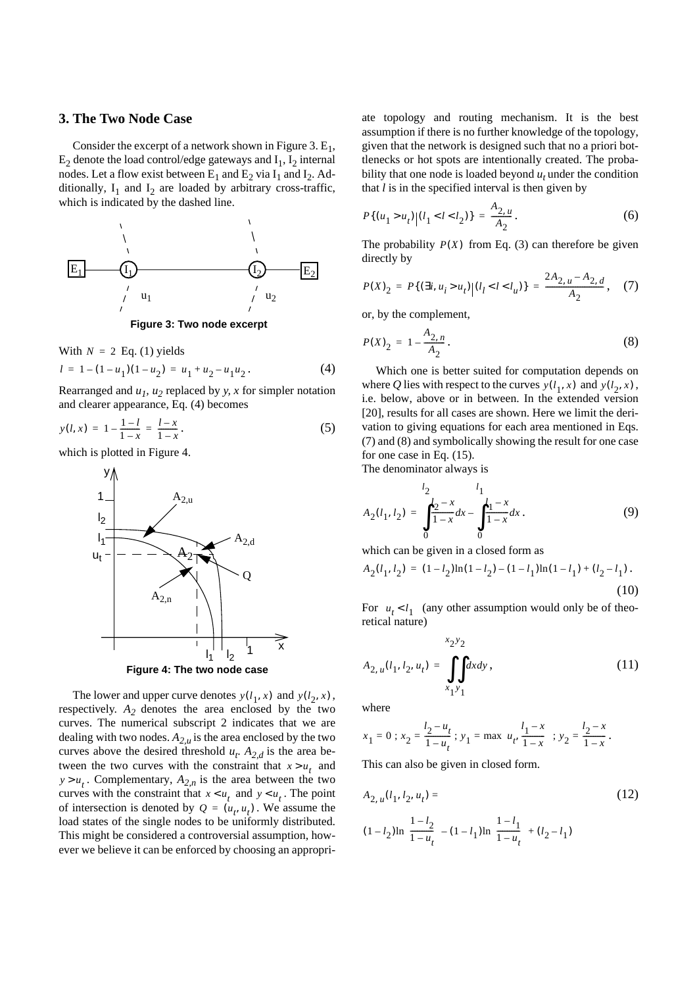## <span id="page-3-0"></span>**3. The Two Node Case**

Consider the excerpt of a network shown in Figure 3.  $E_1$ ,  $E_2$  denote the load control/edge gateways and  $I_1$ ,  $I_2$  internal nodes. Let a flow exist between  $E_1$  and  $E_2$  via  $I_1$  and  $I_2$ . Additionally,  $I_1$  and  $I_2$  are loaded by arbitrary cross-traffic, which is indicated by the dashed line.



**Figure 3: Two node excerpt**

With 
$$
N = 2
$$
 Eq. (1) yields  
\n
$$
l = 1 - (1 - u_1)(1 - u_2) = u_1 + u_2 - u_1 u_2.
$$
\n(4)

Rearranged and  $u_1$ ,  $u_2$  replaced by *y*, *x* for simpler notation and clearer appearance, Eq. (4) becomes

$$
y(l, x) = 1 - \frac{1 - l}{1 - x} = \frac{l - x}{1 - x}.
$$
\n(5)

which is plotted in Figure 4.



The lower and upper curve denotes  $y(l_1, x)$  and  $y(l_2, x)$ , respectively.  $A_2$  denotes the area enclosed by the two curves. The numerical subscript 2 indicates that we are dealing with two nodes.  $A_{2,u}$  is the area enclosed by the two curves above the desired threshold  $u_t$ .  $A_{2,d}$  is the area between the two curves with the constraint that  $x > u_t$  and  $y > u_t$ . Complementary,  $A_{2,n}$  is the area between the two curves with the constraint that  $x < u_t$  and  $y < u_t$ . The point of intersection is denoted by  $Q = (u_t, u_t)$ . We assume the load states of the single nodes to be uniformly distributed. This might be considered a controversial assumption, however we believe it can be enforced by choosing an appropriate topology and routing mechanism. It is the best assumption if there is no further knowledge of the topology, given that the network is designed such that no a priori bottlenecks or hot spots are intentionally created. The probability that one node is loaded beyond  $u_t$  under the condition that *l* is in the specified interval is then given by

$$
P\{(u_1 > u_t) | (l_1 < l < l_2)\} = \frac{A_{2,u}}{A_2}.
$$
 (6)

The probability  $P(X)$  from Eq. [\(3\)](#page-2-0) can therefore be given directly by

$$
P(X)_2 = P\{ (\exists i, u_i > u_t) | (l_l < l < l_u) \} = \frac{2A_{2,u} - A_{2,d}}{A_2}, \quad (7)
$$

or, by the complement,

$$
P(X)_2 = 1 - \frac{A_{2,n}}{A_2}.
$$
 (8)

Which one is better suited for computation depends on where *Q* lies with respect to the curves  $y(l_1, x)$  and  $y(l_2, x)$ , i.e. below, above or in between. In the extended version [\[20\]](#page-7-0), results for all cases are shown. Here we limit the derivation to giving equations for each area mentioned in Eqs. (7) and (8) and symbolically showing the result for one case for one case in Eq. [\(15\).](#page-4-0)

The denominator always is

$$
A_2(l_1, l_2) = \int_0^{l_2} \frac{1}{1-x} dx - \int_{0}^{l_1} \frac{1-x}{1-x} dx.
$$
 (9)

which can be given in a closed form as

$$
A_2(l_1, l_2) = (1 - l_2) \ln(1 - l_2) - (1 - l_1) \ln(1 - l_1) + (l_2 - l_1).
$$
\n(10)

For  $u_t < l_1$  (any other assumption would only be of theoretical nature)

$$
A_{2, u}(l_1, l_2, u_t) = \int_{x_1 y_1}^{x_2 y_2} dx dy,
$$
 (11)

where

$$
x_1 = 0
$$
;  $x_2 = \frac{l_2 - u_t}{1 - u_t}$ ;  $y_1 = \max(u_t, \frac{l_1 - x}{1 - x})$ ;  $y_2 = \frac{l_2 - x}{1 - x}$ .

This can also be given in closed form.

$$
A_{2, u}(l_1, l_2, u_t) =
$$
\n
$$
(1 - l_2) \ln \left( \frac{1 - l_2}{1 - u_t} \right) - (1 - l_1) \ln \left( \frac{1 - l_1}{1 - u_t} \right) + (l_2 - l_1)
$$
\n(12)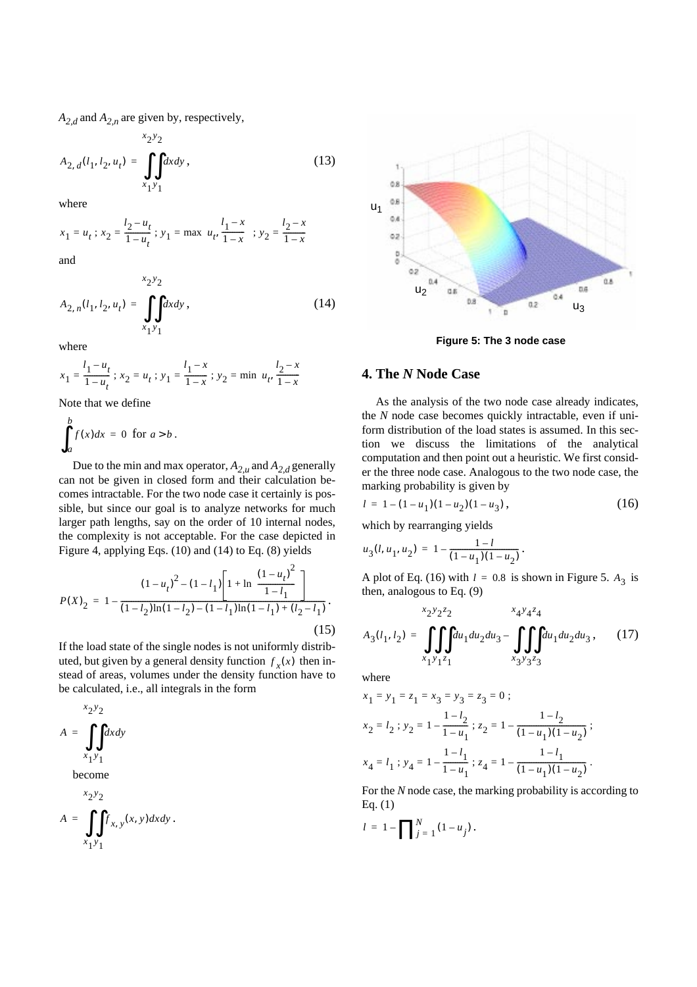<span id="page-4-0"></span>*A2,d* and *A2,n* are given by, respectively,

$$
A_{2, d}(l_1, l_2, u_t) = \int_{x_1 y_1}^{x_2 y_2} dx dy,
$$
 (13)

where

$$
x_1 = u_t
$$
;  $x_2 = \frac{l_2 - u_t}{1 - u_t}$ ;  $y_1 = \max(u_t, \frac{l_1 - x}{1 - x})$ ;  $y_2 = \frac{l_2 - x}{1 - x}$ 

and

$$
A_{2, n}(l_1, l_2, u_t) = \int_{x_1 y_1}^{x_2 y_2} dx dy,
$$
 (14)

where

$$
x_1 = \frac{l_1 - u_t}{1 - u_t}; x_2 = u_t; y_1 = \frac{l_1 - x}{1 - x}; y_2 = \min\left(u_t, \frac{l_2 - x}{1 - x}\right)
$$

Note that we define

$$
\int_a^b f(x)dx = 0 \text{ for } a > b.
$$

Due to the min and max operator,  $A_{2,u}$  and  $A_{2,d}$  generally can not be given in closed form and their calculation becomes intractable. For the two node case it certainly is possible, but since our goal is to analyze networks for much larger path lengths, say on the order of 10 internal nodes, the complexity is not acceptable. For the case depicted in Figure [4,](#page-3-0) applying Eqs. ([10\) a](#page-3-0)nd (14) to Eq. (8[\) yie](#page-3-0)lds

$$
P(X)_{2} = 1 - \frac{(1 - u_{t})^{2} - (1 - l_{1}) \left[ 1 + \ln \left( \frac{(1 - u_{t})^{2}}{1 - l_{1}} \right) \right]}{(1 - l_{2}) \ln(1 - l_{2}) - (1 - l_{1}) \ln(1 - l_{1}) + (l_{2} - l_{1})}.
$$
\n(15)

If the load state of the single nodes is not uniformly distributed, but given by a general density function  $f_x(x)$  then instead of areas, volumes under the density function have to be calculated, i.e., all integrals in the form

$$
A = \int_{x_1y_1}^{x_2y_2} dx dy
$$

become

$$
A = \int_{x_1y_1}^{x_2y_2} f_{x, y}(x, y) dx dy.
$$



**Figure 5: The 3 node case**

### **4. The** *N* **Node Case**

As the analysis of the two node case already indicates, the *N* node case becomes quickly intractable, even if uniform distribution of the load states is assumed. In this section we discuss the limitations of the analytical computation and then point out a heuristic. We first consider the three node case. Analogous to the two node case, the marking probability is given by

$$
l = 1 - (1 - u_1)(1 - u_2)(1 - u_3), \tag{16}
$$

which by rearranging yields

$$
u_3(l, u_1, u_2) = 1 - \frac{1 - l}{(1 - u_1)(1 - u_2)}.
$$

A plot of Eq. (16) with  $l = 0.8$  is shown in Figure 5.  $A_3$  is then, analogous to Eq. ([9\)](#page-3-0)

$$
A_3(l_1, l_2) = \int_{x_1y_1z_1}^{x_2y_2z_2} du_1 du_2 du_3 - \int_{x_3y_3z_3} \int_{x_3y_3z_3}^{x_4y_4z_4} du_1 du_2 du_3, \qquad (17)
$$

where

$$
x_1 = y_1 = z_1 = x_3 = y_3 = z_3 = 0 ;
$$
  
\n
$$
x_2 = l_2 ; y_2 = 1 - \frac{1 - l_2}{1 - u_1} ; z_2 = 1 - \frac{1 - l_2}{(1 - u_1)(1 - u_2)} ;
$$
  
\n
$$
x_4 = l_1 ; y_4 = 1 - \frac{1 - l_1}{1 - u_1} ; z_4 = 1 - \frac{1 - l_1}{(1 - u_1)(1 - u_2)} .
$$

.

For the *N* node case, the marking probability is according to Eq. [\(1\)](#page-2-0)

$$
l = 1 - \prod\nolimits_{j\, =\, 1}^N (1 - u_j)
$$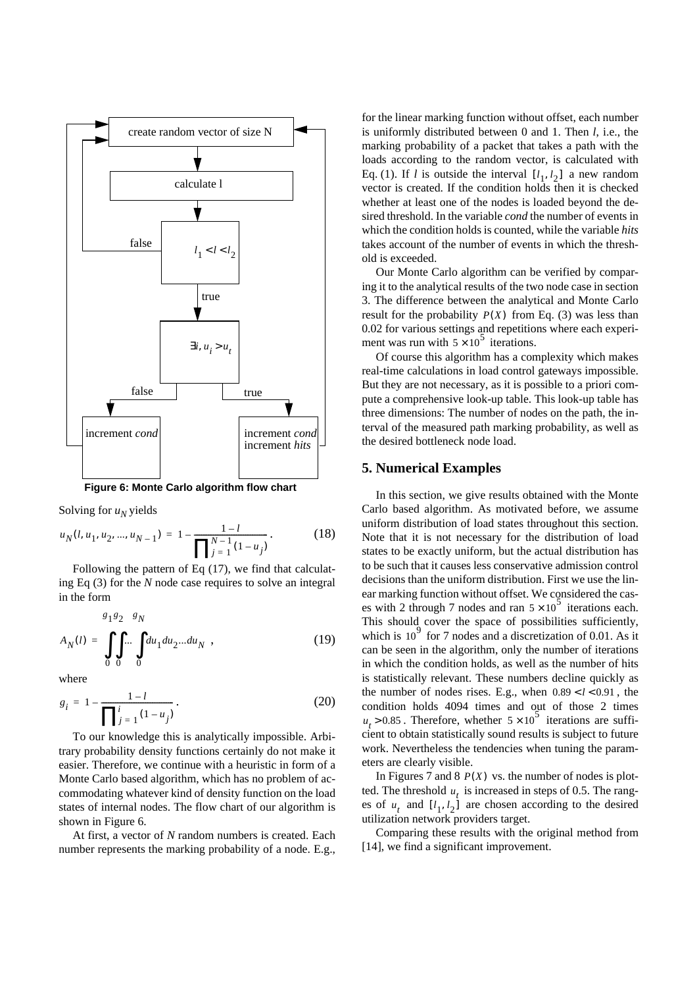<span id="page-5-0"></span>

**Figure 6: Monte Carlo algorithm flow chart**

Solving for  $u_N$  yields

$$
u_N(l, u_1, u_2, ..., u_{N-1}) = 1 - \frac{1 - l}{\prod_{j=1}^{N-1} (1 - u_j)}.
$$
 (18)

Following the pattern of Eq [\(17\),](#page-4-0) we find that calculating Eq [\(3\)](#page-2-0) for the *N* node case requires to solve an integral in the form

$$
A_N(l) = \int_{0}^{g_1 g_2} \int_{0}^{g_N} \dots \int_{0}^{g_M} du_1 du_2 \dots du_N , \qquad (19)
$$

where

$$
g_i = 1 - \frac{1 - l}{\prod_{j=1}^{i} (1 - u_j)}.
$$
 (20)

To our knowledge this is analytically impossible. Arbitrary probability density functions certainly do not make it easier. Therefore, we continue with a heuristic in form of a Monte Carlo based algorithm, which has no problem of accommodating whatever kind of density function on the load states of internal nodes. The flow chart of our algorithm is shown in Figure 6.

At first, a vector of *N* random numbers is created. Each number represents the marking probability of a node. E.g., for the linear marking function without offset, each number is uniformly distributed between 0 and 1. Then *l*, i.e., the marking probability of a packet that takes a path with the loads according to the random vector, is calculated with Eq. [\(1\).](#page-2-0) If *l* is outside the interval  $[l_1, l_2]$  a new random vector is created. If the condition holds then it is checked whether at least one of the nodes is loaded beyond the desired threshold. In the variable *cond* the number of events in which the condition holds is counted, while the variable *hits* takes account of the number of events in which the threshold is exceeded.

Our Monte Carlo algorithm can be verified by comparing it to the analytical results of the two node case in section [3.](#page-3-0) The difference between the analytical and Monte Carlo result for the probability  $P(X)$  from Eq. [\(3\)](#page-2-0) was less than 0.02 for various settings and repetitions where each experiment was run with  $5 \times 10^5$  iterations.

Of course this algorithm has a complexity which makes real-time calculations in load control gateways impossible. But they are not necessary, as it is possible to a priori compute a comprehensive look-up table. This look-up table has three dimensions: The number of nodes on the path, the interval of the measured path marking probability, as well as the desired bottleneck node load.

#### **5. Numerical Examples**

In this section, we give results obtained with the Monte Carlo based algorithm. As motivated before, we assume uniform distribution of load states throughout this section. Note that it is not necessary for the distribution of load states to be exactly uniform, but the actual distribution has to be such that it causes less conservative admission control decisions than the uniform distribution. First we use the linear marking function without offset. We considered the cases with 2 through 7 nodes and ran  $5 \times 10^5$  iterations each. This should cover the space of possibilities sufficiently, which is  $10^9$  for 7 nodes and a discretization of 0.01. As it can be seen in the algorithm, only the number of iterations in which the condition holds, as well as the number of hits is statistically relevant. These numbers decline quickly as the number of nodes rises. E.g., when  $0.89 < l < 0.91$ , the condition holds 4094 times and out of those 2 times  $u_t > 0.85$ . Therefore, whether  $5 \times 10^5$  iterations are sufficient to obtain statistically sound results is subject to future work. Nevertheless the tendencies when tuning the parameters are clearly visible.

In Figures [7](#page-6-0) and [8](#page-6-0)  $P(X)$  vs. the number of nodes is plotted. The threshold  $u_t$  is increased in steps of 0.5. The ranges of  $u_t$  and  $\lfloor l_1, l_2 \rfloor$  are chosen according to the desired utilization network providers target.

Comparing these results with the original method from [\[14\]](#page-7-0), we find a significant improvement.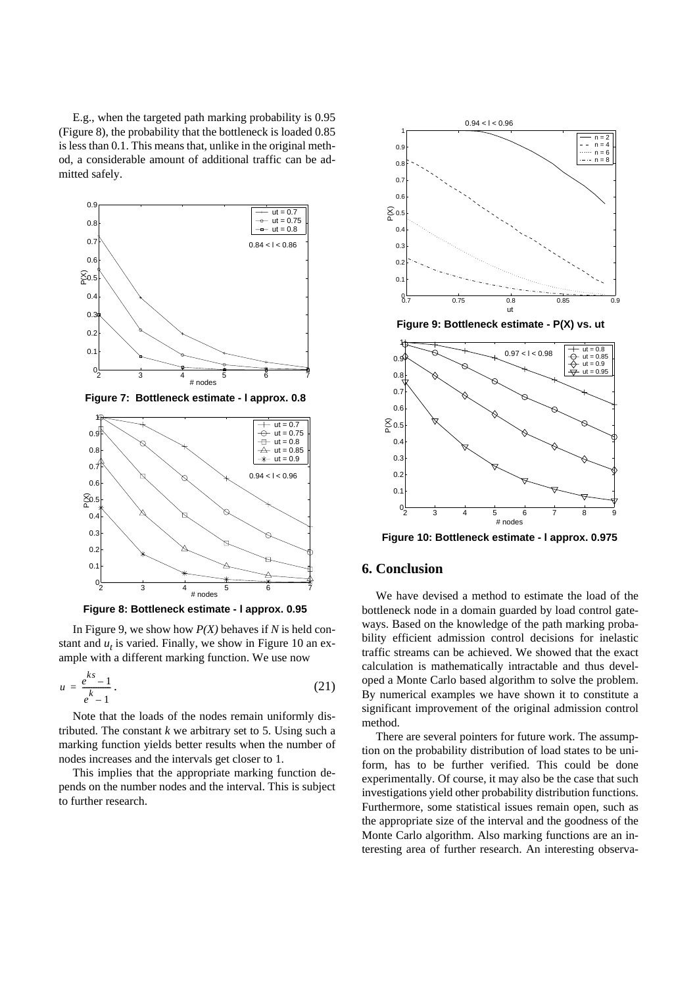<span id="page-6-0"></span>E.g., when the targeted path marking probability is 0.95 (Figure 8), the probability that the bottleneck is loaded 0.85 is less than 0.1. This means that, unlike in the original method, a considerable amount of additional traffic can be admitted safely.



**Figure 7: Bottleneck estimate - l approx. 0.8**



**Figure 8: Bottleneck estimate - l approx. 0.95**

In Figure 9, we show how  $P(X)$  behaves if *N* is held constant and  $u_t$  is varied. Finally, we show in Figure 10 an example with a different marking function. We use now

$$
u = \frac{e^{ks} - 1}{e^k - 1}.
$$
\n<sup>(21)</sup>

Note that the loads of the nodes remain uniformly distributed. The constant  $k$  we arbitrary set to 5. Using such a marking function yields better results when the number of nodes increases and the intervals get closer to 1.

This implies that the appropriate marking function depends on the number nodes and the interval. This is subject to further research.



**Figure 9: Bottleneck estimate - P(X) vs. ut**



**Figure 10: Bottleneck estimate - l approx. 0.975**

### **6. Conclusion**

We have devised a method to estimate the load of the bottleneck node in a domain guarded by load control gateways. Based on the knowledge of the path marking probability efficient admission control decisions for inelastic traffic streams can be achieved. We showed that the exact calculation is mathematically intractable and thus developed a Monte Carlo based algorithm to solve the problem. By numerical examples we have shown it to constitute a significant improvement of the original admission control method.

There are several pointers for future work. The assumption on the probability distribution of load states to be uniform, has to be further verified. This could be done experimentally. Of course, it may also be the case that such investigations yield other probability distribution functions. Furthermore, some statistical issues remain open, such as the appropriate size of the interval and the goodness of the Monte Carlo algorithm. Also marking functions are an interesting area of further research. An interesting observa